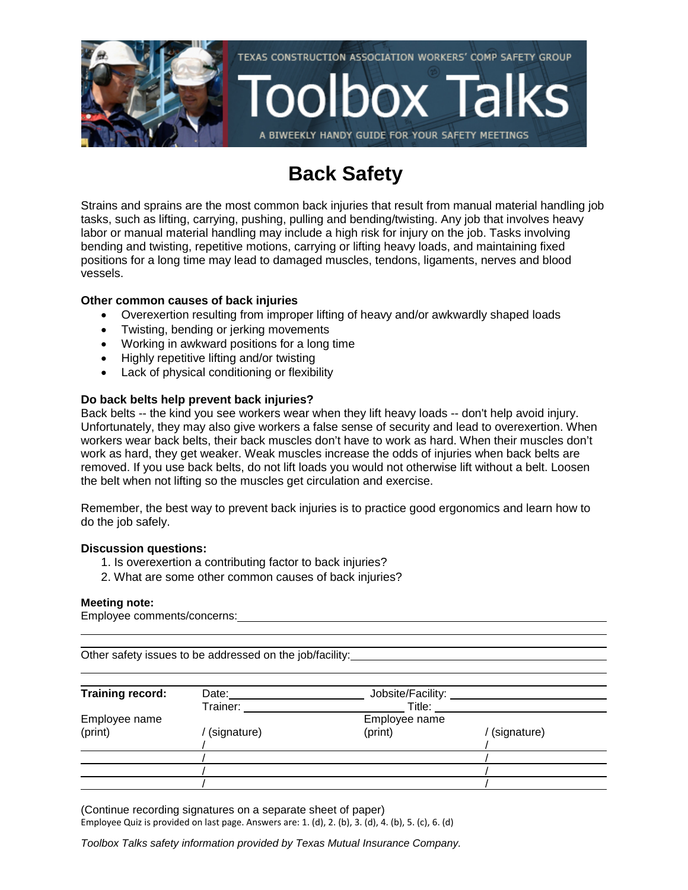

### **Back Safety**

Strains and sprains are the most common back injuries that result from manual material handling job tasks, such as lifting, carrying, pushing, pulling and bending/twisting. Any job that involves heavy labor or manual material handling may include a high risk for injury on the job. Tasks involving bending and twisting, repetitive motions, carrying or lifting heavy loads, and maintaining fixed positions for a long time may lead to damaged muscles, tendons, ligaments, nerves and blood vessels.

### **Other common causes of back injuries**

- Overexertion resulting from improper lifting of heavy and/or awkwardly shaped loads
- Twisting, bending or jerking movements
- Working in awkward positions for a long time
- Highly repetitive lifting and/or twisting
- Lack of physical conditioning or flexibility

### **Do back belts help prevent back injuries?**

Back belts -- the kind you see workers wear when they lift heavy loads -- don't help avoid injury. Unfortunately, they may also give workers a false sense of security and lead to overexertion. When workers wear back belts, their back muscles don't have to work as hard. When their muscles don't work as hard, they get weaker. Weak muscles increase the odds of injuries when back belts are removed. If you use back belts, do not lift loads you would not otherwise lift without a belt. Loosen the belt when not lifting so the muscles get circulation and exercise.

Remember, the best way to prevent back injuries is to practice good ergonomics and learn how to do the job safely.

### **Discussion questions:**

- 1. Is overexertion a contributing factor to back injuries?
- 2. What are some other common causes of back injuries?

### **Meeting note:**

Employee comments/concerns:

Other safety issues to be addressed on the job/facility:

| Training record: | Date:       | Jobsite/Facility: |             |
|------------------|-------------|-------------------|-------------|
|                  | Trainer:    | Title:            |             |
| Employee name    |             | Employee name     |             |
| (print)          | (signature) | (print)           | (signature) |
|                  |             |                   |             |
|                  |             |                   |             |
|                  |             |                   |             |
|                  |             |                   |             |

(Continue recording signatures on a separate sheet of paper) Employee Quiz is provided on last page. Answers are: 1. (d), 2. (b), 3. (d), 4. (b), 5. (c), 6. (d)

*Toolbox Talks safety information provided by Texas Mutual Insurance Company.*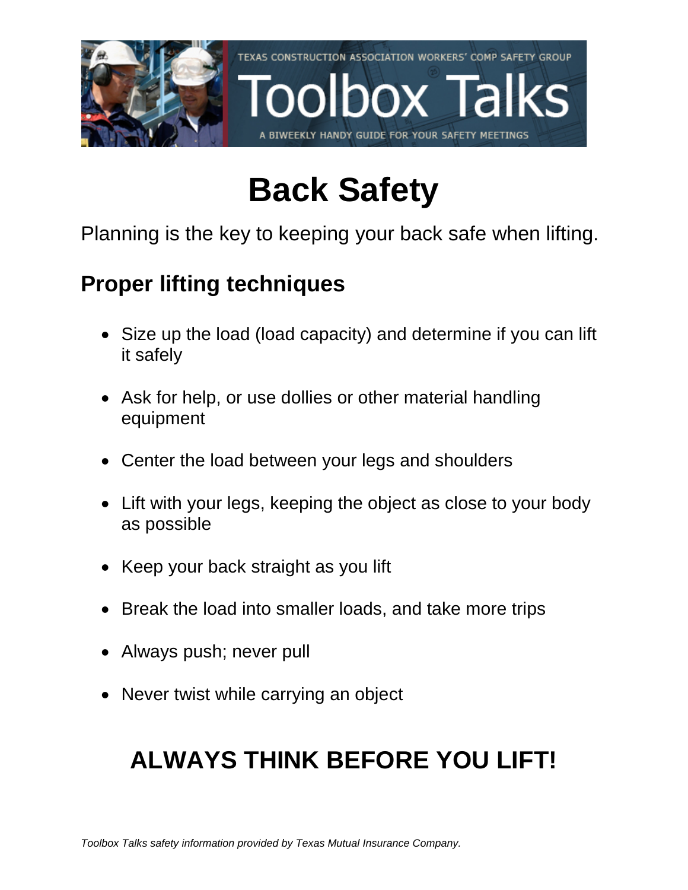

# **Back Safety**

Planning is the key to keeping your back safe when lifting.

## **Proper lifting techniques**

- Size up the load (load capacity) and determine if you can lift it safely
- Ask for help, or use dollies or other material handling equipment
- Center the load between your legs and shoulders
- Lift with your legs, keeping the object as close to your body as possible
- Keep your back straight as you lift
- Break the load into smaller loads, and take more trips
- Always push; never pull
- Never twist while carrying an object

## **ALWAYS THINK BEFORE YOU LIFT!**